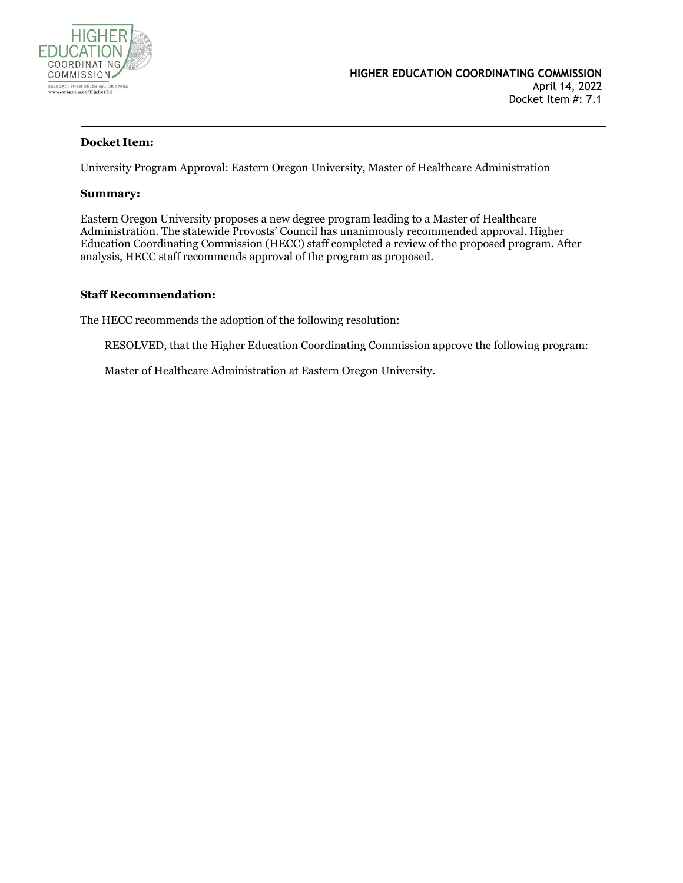

#### **Docket Item:**

University Program Approval: Eastern Oregon University, Master of Healthcare Administration

#### **Summary:**

Eastern Oregon University proposes a new degree program leading to a Master of Healthcare Administration. The statewide Provosts' Council has unanimously recommended approval. Higher Education Coordinating Commission (HECC) staff completed a review of the proposed program. After analysis, HECC staff recommends approval of the program as proposed.

#### **Staff Recommendation:**

The HECC recommends the adoption of the following resolution:

RESOLVED, that the Higher Education Coordinating Commission approve the following program:

Master of Healthcare Administration at Eastern Oregon University.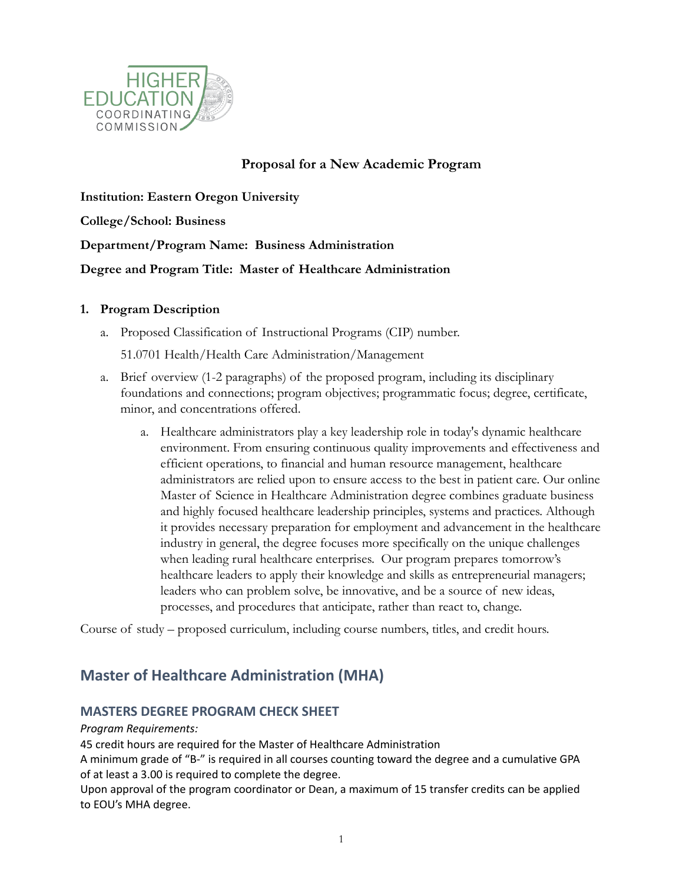

# **Proposal for a New Academic Program**

**Institution: Eastern Oregon University College/School: Business Department/Program Name: Business Administration Degree and Program Title: Master of Healthcare Administration**

#### **1. Program Description**

a. Proposed Classification of Instructional Programs (CIP) number.

51.0701 Health/Health Care Administration/Management

- a. Brief overview (1-2 paragraphs) of the proposed program, including its disciplinary foundations and connections; program objectives; programmatic focus; degree, certificate, minor, and concentrations offered.
	- a. Healthcare administrators play a key leadership role in today's dynamic healthcare environment. From ensuring continuous quality improvements and effectiveness and efficient operations, to financial and human resource management, healthcare administrators are relied upon to ensure access to the best in patient care. Our online Master of Science in Healthcare Administration degree combines graduate business and highly focused healthcare leadership principles, systems and practices. Although it provides necessary preparation for employment and advancement in the healthcare industry in general, the degree focuses more specifically on the unique challenges when leading rural healthcare enterprises. Our program prepares tomorrow's healthcare leaders to apply their knowledge and skills as entrepreneurial managers; leaders who can problem solve, be innovative, and be a source of new ideas, processes, and procedures that anticipate, rather than react to, change.

Course of study – proposed curriculum, including course numbers, titles, and credit hours.

# **Master of Healthcare Administration (MHA)**

## **MASTERS DEGREE PROGRAM CHECK SHEET**

#### *Program Requirements:*

45 credit hours are required for the Master of Healthcare Administration

A minimum grade of "B-" is required in all courses counting toward the degree and a cumulative GPA of at least a 3.00 is required to complete the degree.

Upon approval of the program coordinator or Dean, a maximum of 15 transfer credits can be applied to EOU's MHA degree.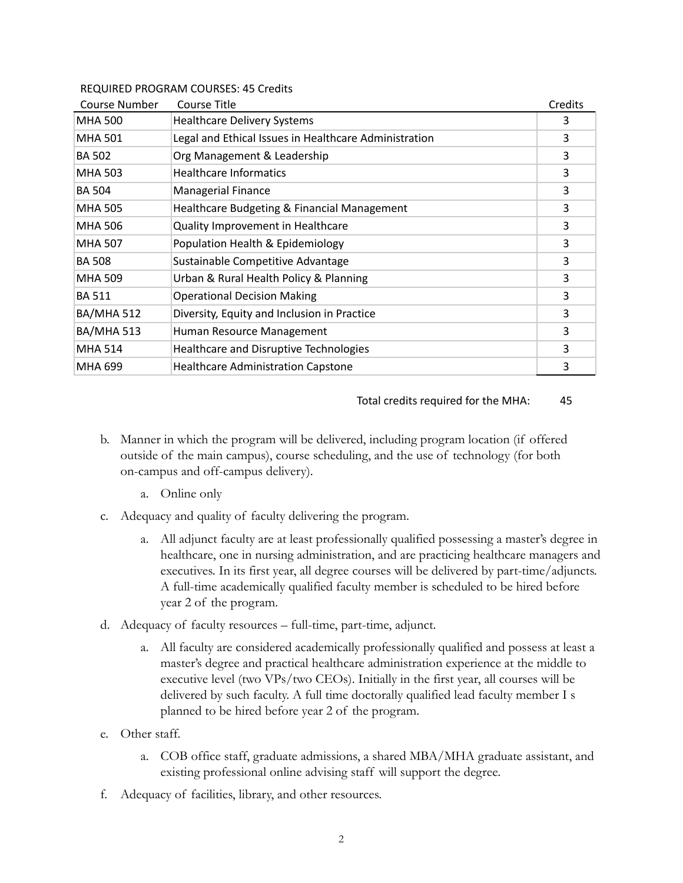#### REQUIRED PROGRAM COURSES: 45 Credits

| Course Number     | Course Title                                          | Credits |
|-------------------|-------------------------------------------------------|---------|
| <b>MHA 500</b>    | <b>Healthcare Delivery Systems</b>                    | 3       |
| <b>MHA 501</b>    | Legal and Ethical Issues in Healthcare Administration | 3       |
| <b>BA 502</b>     | Org Management & Leadership                           | 3       |
| <b>MHA 503</b>    | <b>Healthcare Informatics</b>                         | 3       |
| <b>BA 504</b>     | Managerial Finance                                    | 3       |
| <b>MHA 505</b>    | Healthcare Budgeting & Financial Management           | 3       |
| <b>MHA 506</b>    | Quality Improvement in Healthcare                     | 3       |
| <b>MHA 507</b>    | Population Health & Epidemiology                      | 3       |
| <b>BA 508</b>     | Sustainable Competitive Advantage                     | 3       |
| <b>MHA 509</b>    | Urban & Rural Health Policy & Planning                | 3       |
| <b>BA 511</b>     | <b>Operational Decision Making</b>                    | 3       |
| <b>BA/MHA 512</b> | Diversity, Equity and Inclusion in Practice           | 3       |
| <b>BA/MHA 513</b> | Human Resource Management                             | 3       |
| <b>MHA 514</b>    | Healthcare and Disruptive Technologies                | 3       |
| <b>MHA 699</b>    | <b>Healthcare Administration Capstone</b>             | 3       |

#### Total credits required for the MHA: 45

- b. Manner in which the program will be delivered, including program location (if offered outside of the main campus), course scheduling, and the use of technology (for both on-campus and off-campus delivery).
	- a. Online only
- c. Adequacy and quality of faculty delivering the program.
	- a. All adjunct faculty are at least professionally qualified possessing a master's degree in healthcare, one in nursing administration, and are practicing healthcare managers and executives. In its first year, all degree courses will be delivered by part-time/adjuncts. A full-time academically qualified faculty member is scheduled to be hired before year 2 of the program.
- d. Adequacy of faculty resources full-time, part-time, adjunct.
	- a. All faculty are considered academically professionally qualified and possess at least a master's degree and practical healthcare administration experience at the middle to executive level (two VPs/two CEOs). Initially in the first year, all courses will be delivered by such faculty. A full time doctorally qualified lead faculty member I s planned to be hired before year 2 of the program.
- e. Other staff.
	- a. COB office staff, graduate admissions, a shared MBA/MHA graduate assistant, and existing professional online advising staff will support the degree.
- f. Adequacy of facilities, library, and other resources.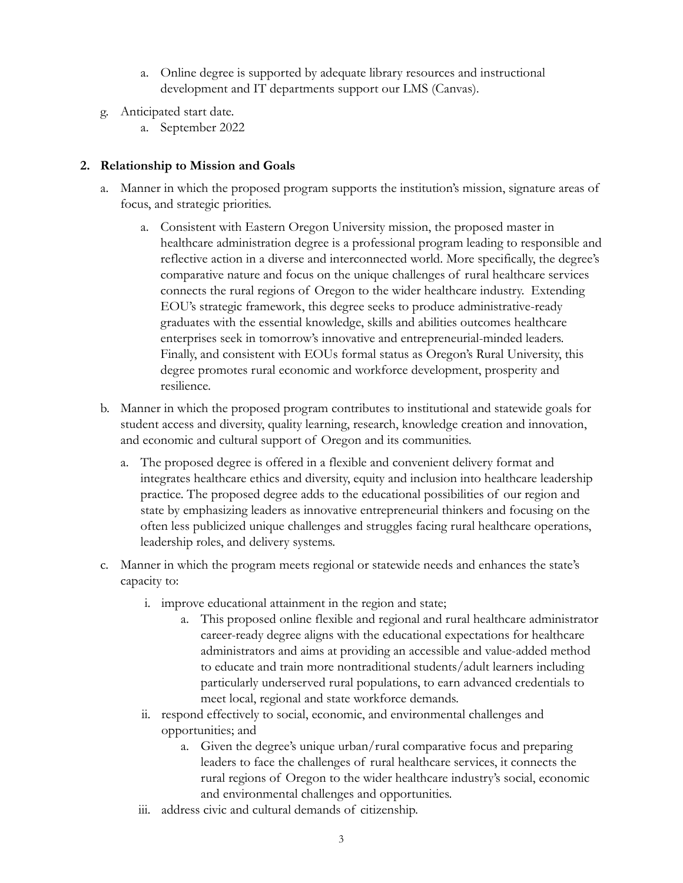- a. Online degree is supported by adequate library resources and instructional development and IT departments support our LMS (Canvas).
- g. Anticipated start date.
	- a. September 2022

### **2. Relationship to Mission and Goals**

- a. Manner in which the proposed program supports the institution's mission, signature areas of focus, and strategic priorities.
	- a. Consistent with Eastern Oregon University mission, the proposed master in healthcare administration degree is a professional program leading to responsible and reflective action in a diverse and interconnected world. More specifically, the degree's comparative nature and focus on the unique challenges of rural healthcare services connects the rural regions of Oregon to the wider healthcare industry. Extending EOU's strategic framework, this degree seeks to produce administrative-ready graduates with the essential knowledge, skills and abilities outcomes healthcare enterprises seek in tomorrow's innovative and entrepreneurial-minded leaders. Finally, and consistent with EOUs formal status as Oregon's Rural University, this degree promotes rural economic and workforce development, prosperity and resilience.
- b. Manner in which the proposed program contributes to institutional and statewide goals for student access and diversity, quality learning, research, knowledge creation and innovation, and economic and cultural support of Oregon and its communities.
	- a. The proposed degree is offered in a flexible and convenient delivery format and integrates healthcare ethics and diversity, equity and inclusion into healthcare leadership practice. The proposed degree adds to the educational possibilities of our region and state by emphasizing leaders as innovative entrepreneurial thinkers and focusing on the often less publicized unique challenges and struggles facing rural healthcare operations, leadership roles, and delivery systems.
- c. Manner in which the program meets regional or statewide needs and enhances the state's capacity to:
	- i. improve educational attainment in the region and state;
		- a. This proposed online flexible and regional and rural healthcare administrator career-ready degree aligns with the educational expectations for healthcare administrators and aims at providing an accessible and value-added method to educate and train more nontraditional students/adult learners including particularly underserved rural populations, to earn advanced credentials to meet local, regional and state workforce demands.
	- ii. respond effectively to social, economic, and environmental challenges and opportunities; and
		- a. Given the degree's unique urban/rural comparative focus and preparing leaders to face the challenges of rural healthcare services, it connects the rural regions of Oregon to the wider healthcare industry's social, economic and environmental challenges and opportunities.
	- iii. address civic and cultural demands of citizenship.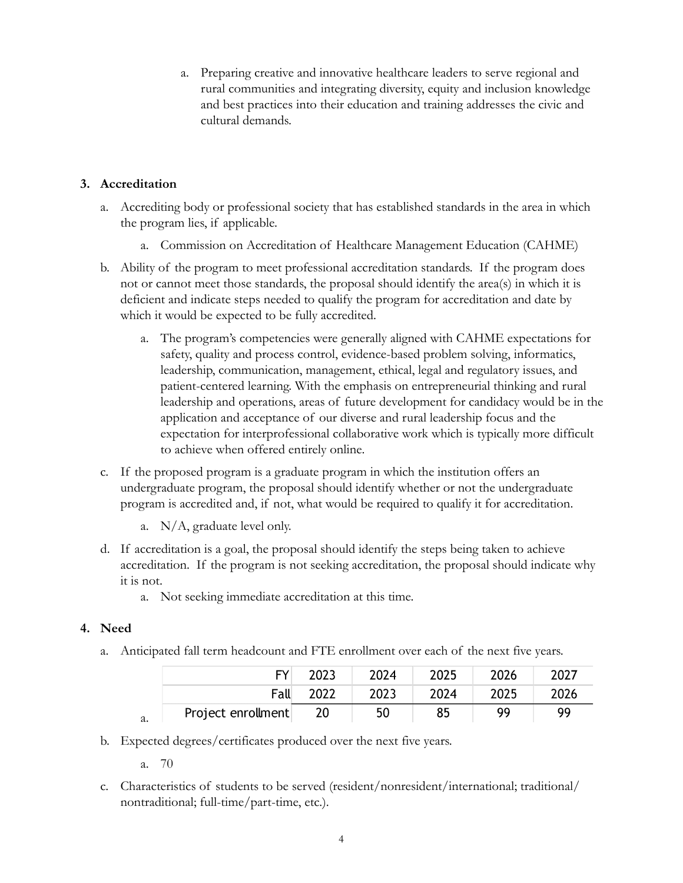a. Preparing creative and innovative healthcare leaders to serve regional and rural communities and integrating diversity, equity and inclusion knowledge and best practices into their education and training addresses the civic and cultural demands.

# **3. Accreditation**

- a. Accrediting body or professional society that has established standards in the area in which the program lies, if applicable.
	- a. Commission on Accreditation of Healthcare Management Education (CAHME)
- b. Ability of the program to meet professional accreditation standards. If the program does not or cannot meet those standards, the proposal should identify the area(s) in which it is deficient and indicate steps needed to qualify the program for accreditation and date by which it would be expected to be fully accredited.
	- a. The program's competencies were generally aligned with CAHME expectations for safety, quality and process control, evidence-based problem solving, informatics, leadership, communication, management, ethical, legal and regulatory issues, and patient-centered learning. With the emphasis on entrepreneurial thinking and rural leadership and operations, areas of future development for candidacy would be in the application and acceptance of our diverse and rural leadership focus and the expectation for interprofessional collaborative work which is typically more difficult to achieve when offered entirely online.
- c. If the proposed program is a graduate program in which the institution offers an undergraduate program, the proposal should identify whether or not the undergraduate program is accredited and, if not, what would be required to qualify it for accreditation.
	- a. N/A, graduate level only.
- d. If accreditation is a goal, the proposal should identify the steps being taken to achieve accreditation. If the program is not seeking accreditation, the proposal should indicate why it is not.
	- a. Not seeking immediate accreditation at this time.

# **4. Need**

a. Anticipated fall term headcount and FTE enrollment over each of the next five years.

| EY.                | 2023 | 2024 | 2025 | 2026 | 2027 |
|--------------------|------|------|------|------|------|
| Fall               | 2022 | 2023 | 2024 | 2025 | 2026 |
| Project enrollment | 20   | 50   | 85   | 99   | 99   |

- b. Expected degrees/certificates produced over the next five years.
	- a. 70

a.

c. Characteristics of students to be served (resident/nonresident/international; traditional/ nontraditional; full-time/part-time, etc.).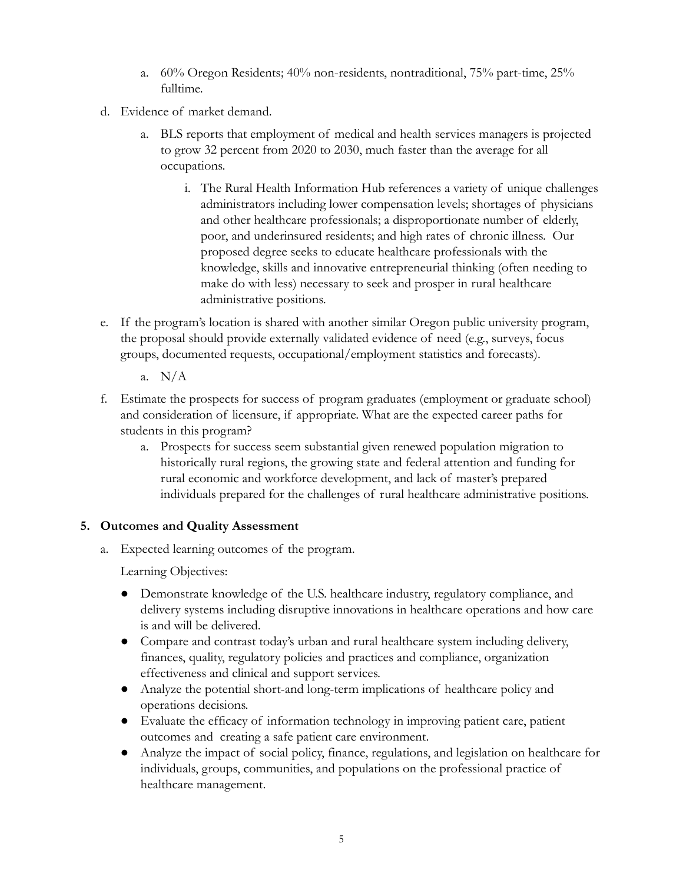- a. 60% Oregon Residents; 40% non-residents, nontraditional, 75% part-time, 25% fulltime.
- d. Evidence of market demand.
	- a. BLS reports that employment of medical and health services managers is projected to grow 32 percent from 2020 to 2030, much faster than the average for all occupations.
		- i. The Rural Health Information Hub references a variety of unique challenges administrators including lower compensation levels; shortages of physicians and other healthcare professionals; a disproportionate number of elderly, poor, and underinsured residents; and high rates of chronic illness. Our proposed degree seeks to educate healthcare professionals with the knowledge, skills and innovative entrepreneurial thinking (often needing to make do with less) necessary to seek and prosper in rural healthcare administrative positions.
- e. If the program's location is shared with another similar Oregon public university program, the proposal should provide externally validated evidence of need (e.g., surveys, focus groups, documented requests, occupational/employment statistics and forecasts).
	- a. N/A
- f. Estimate the prospects for success of program graduates (employment or graduate school) and consideration of licensure, if appropriate. What are the expected career paths for students in this program?
	- a. Prospects for success seem substantial given renewed population migration to historically rural regions, the growing state and federal attention and funding for rural economic and workforce development, and lack of master's prepared individuals prepared for the challenges of rural healthcare administrative positions.

## **5. Outcomes and Quality Assessment**

a. Expected learning outcomes of the program.

Learning Objectives:

- Demonstrate knowledge of the U.S. healthcare industry, regulatory compliance, and delivery systems including disruptive innovations in healthcare operations and how care is and will be delivered.
- Compare and contrast today's urban and rural healthcare system including delivery, finances, quality, regulatory policies and practices and compliance, organization effectiveness and clinical and support services.
- Analyze the potential short-and long-term implications of healthcare policy and operations decisions.
- Evaluate the efficacy of information technology in improving patient care, patient outcomes and creating a safe patient care environment.
- Analyze the impact of social policy, finance, regulations, and legislation on healthcare for individuals, groups, communities, and populations on the professional practice of healthcare management.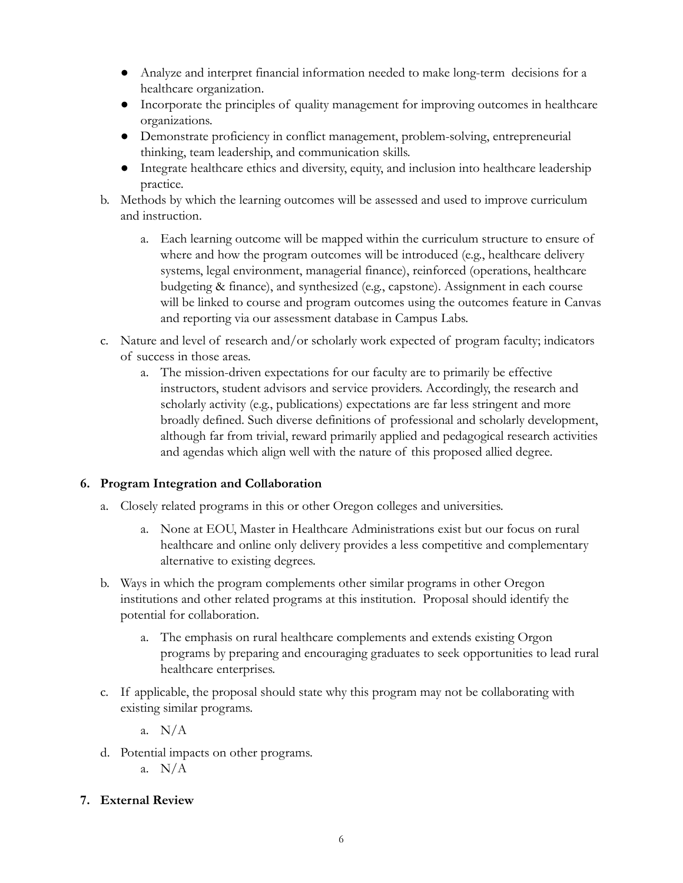- Analyze and interpret financial information needed to make long-term decisions for a healthcare organization.
- Incorporate the principles of quality management for improving outcomes in healthcare organizations.
- Demonstrate proficiency in conflict management, problem-solving, entrepreneurial thinking, team leadership, and communication skills.
- Integrate healthcare ethics and diversity, equity, and inclusion into healthcare leadership practice.
- b. Methods by which the learning outcomes will be assessed and used to improve curriculum and instruction.
	- a. Each learning outcome will be mapped within the curriculum structure to ensure of where and how the program outcomes will be introduced (e.g., healthcare delivery systems, legal environment, managerial finance), reinforced (operations, healthcare budgeting & finance), and synthesized (e.g., capstone). Assignment in each course will be linked to course and program outcomes using the outcomes feature in Canvas and reporting via our assessment database in Campus Labs.
- c. Nature and level of research and/or scholarly work expected of program faculty; indicators of success in those areas.
	- a. The mission-driven expectations for our faculty are to primarily be effective instructors, student advisors and service providers. Accordingly, the research and scholarly activity (e.g., publications) expectations are far less stringent and more broadly defined. Such diverse definitions of professional and scholarly development, although far from trivial, reward primarily applied and pedagogical research activities and agendas which align well with the nature of this proposed allied degree.

## **6. Program Integration and Collaboration**

- a. Closely related programs in this or other Oregon colleges and universities.
	- a. None at EOU, Master in Healthcare Administrations exist but our focus on rural healthcare and online only delivery provides a less competitive and complementary alternative to existing degrees.
- b. Ways in which the program complements other similar programs in other Oregon institutions and other related programs at this institution. Proposal should identify the potential for collaboration.
	- a. The emphasis on rural healthcare complements and extends existing Orgon programs by preparing and encouraging graduates to seek opportunities to lead rural healthcare enterprises.
- c. If applicable, the proposal should state why this program may not be collaborating with existing similar programs.
	- a. N/A
- d. Potential impacts on other programs.
	- a. N/A
- **7. External Review**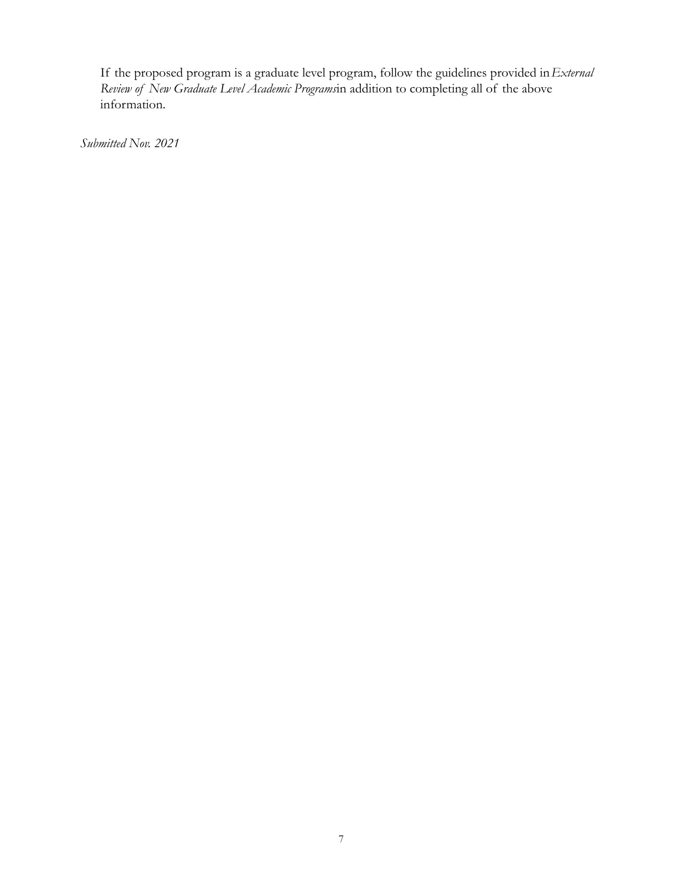If the proposed program is a graduate level program, follow the guidelines provided in*External Review of New Graduate Level Academic Programs*in addition to completing all of the above information.

*Submitted Nov. 2021*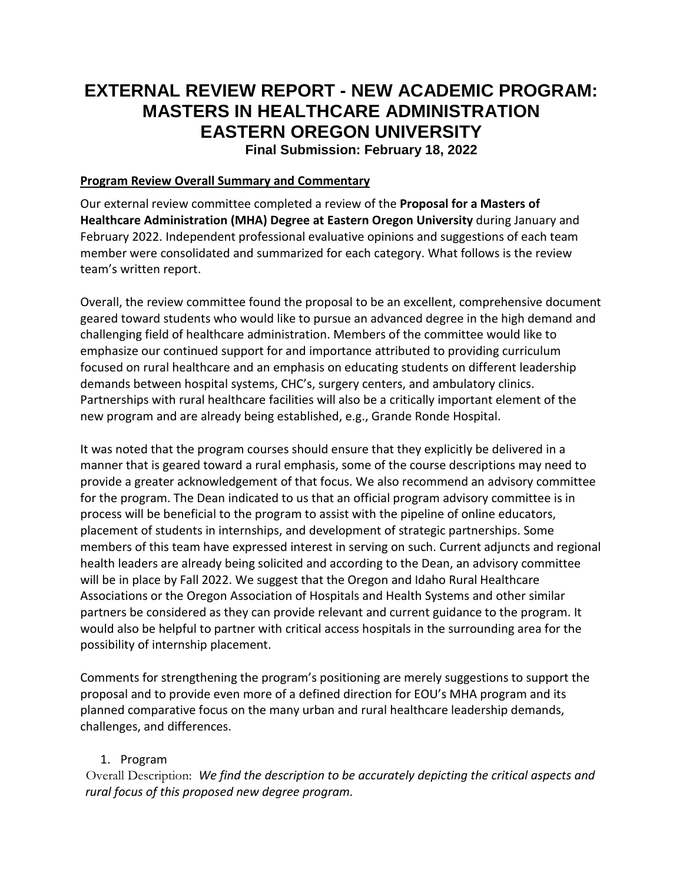# **EXTERNAL REVIEW REPORT - NEW ACADEMIC PROGRAM: MASTERS IN HEALTHCARE ADMINISTRATION EASTERN OREGON UNIVERSITY Final Submission: February 18, 2022**

#### **Program Review Overall Summary and Commentary**

Our external review committee completed a review of the **Proposal for a Masters of Healthcare Administration (MHA) Degree at Eastern Oregon University** during January and February 2022. Independent professional evaluative opinions and suggestions of each team member were consolidated and summarized for each category. What follows is the review team's written report.

Overall, the review committee found the proposal to be an excellent, comprehensive document geared toward students who would like to pursue an advanced degree in the high demand and challenging field of healthcare administration. Members of the committee would like to emphasize our continued support for and importance attributed to providing curriculum focused on rural healthcare and an emphasis on educating students on different leadership demands between hospital systems, CHC's, surgery centers, and ambulatory clinics. Partnerships with rural healthcare facilities will also be a critically important element of the new program and are already being established, e.g., Grande Ronde Hospital.

It was noted that the program courses should ensure that they explicitly be delivered in a manner that is geared toward a rural emphasis, some of the course descriptions may need to provide a greater acknowledgement of that focus. We also recommend an advisory committee for the program. The Dean indicated to us that an official program advisory committee is in process will be beneficial to the program to assist with the pipeline of online educators, placement of students in internships, and development of strategic partnerships. Some members of this team have expressed interest in serving on such. Current adjuncts and regional health leaders are already being solicited and according to the Dean, an advisory committee will be in place by Fall 2022. We suggest that the Oregon and Idaho Rural Healthcare Associations or the Oregon Association of Hospitals and Health Systems and other similar partners be considered as they can provide relevant and current guidance to the program. It would also be helpful to partner with critical access hospitals in the surrounding area for the possibility of internship placement.

Comments for strengthening the program's positioning are merely suggestions to support the proposal and to provide even more of a defined direction for EOU's MHA program and its planned comparative focus on the many urban and rural healthcare leadership demands, challenges, and differences.

#### 1. Program

Overall Description: *We find the description to be accurately depicting the critical aspects and rural focus of this proposed new degree program.*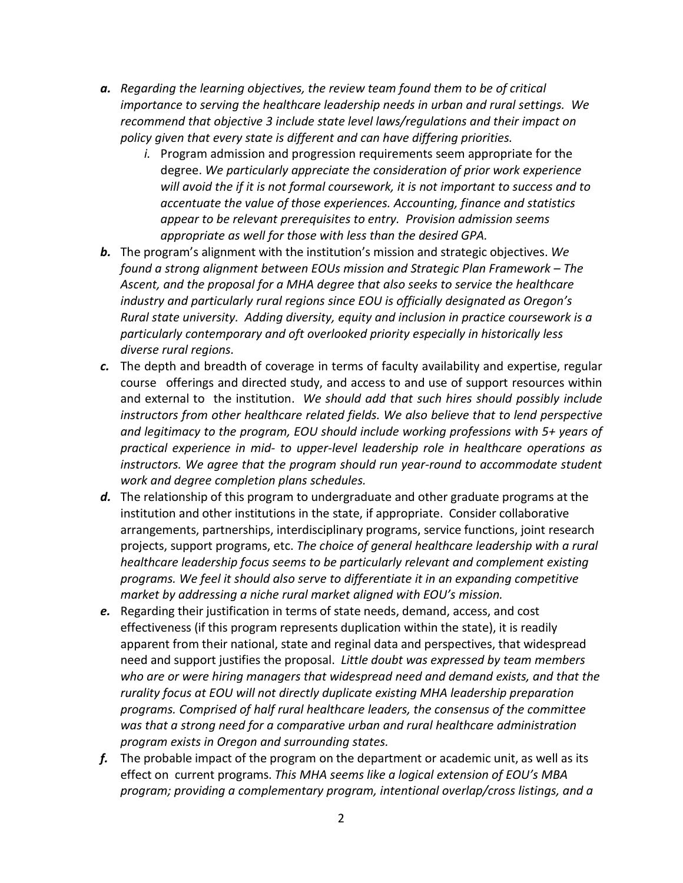- *a. Regarding the learning objectives, the review team found them to be of critical importance to serving the healthcare leadership needs in urban and rural settings. We recommend that objective 3 include state level laws/regulations and their impact on policy given that every state is different and can have differing priorities.* 
	- *i.* Program admission and progression requirements seem appropriate for the degree. *We particularly appreciate the consideration of prior work experience will avoid the if it is not formal coursework, it is not important to success and to accentuate the value of those experiences. Accounting, finance and statistics appear to be relevant prerequisites to entry. Provision admission seems appropriate as well for those with less than the desired GPA.*
- *b.* The program's alignment with the institution's mission and strategic objectives. *We found a strong alignment between EOUs mission and Strategic Plan Framework – The Ascent, and the proposal for a MHA degree that also seeks to service the healthcare industry and particularly rural regions since EOU is officially designated as Oregon's Rural state university. Adding diversity, equity and inclusion in practice coursework is a particularly contemporary and oft overlooked priority especially in historically less diverse rural regions.*
- *c.* The depth and breadth of coverage in terms of faculty availability and expertise, regular course offerings and directed study, and access to and use of support resources within and external to the institution. *We should add that such hires should possibly include instructors from other healthcare related fields. We also believe that to lend perspective and legitimacy to the program, EOU should include working professions with 5+ years of practical experience in mid- to upper-level leadership role in healthcare operations as instructors. We agree that the program should run year-round to accommodate student work and degree completion plans schedules.*
- *d.* The relationship of this program to undergraduate and other graduate programs at the institution and other institutions in the state, if appropriate. Consider collaborative arrangements, partnerships, interdisciplinary programs, service functions, joint research projects, support programs, etc. *The choice of general healthcare leadership with a rural healthcare leadership focus seems to be particularly relevant and complement existing programs. We feel it should also serve to differentiate it in an expanding competitive market by addressing a niche rural market aligned with EOU's mission.*
- *e.* Regarding their justification in terms of state needs, demand, access, and cost effectiveness (if this program represents duplication within the state), it is readily apparent from their national, state and reginal data and perspectives, that widespread need and support justifies the proposal. *Little doubt was expressed by team members who are or were hiring managers that widespread need and demand exists, and that the rurality focus at EOU will not directly duplicate existing MHA leadership preparation programs. Comprised of half rural healthcare leaders, the consensus of the committee was that a strong need for a comparative urban and rural healthcare administration program exists in Oregon and surrounding states.*
- *f.* The probable impact of the program on the department or academic unit, as well as its effect on current programs. *This MHA seems like a logical extension of EOU's MBA program; providing a complementary program, intentional overlap/cross listings, and a*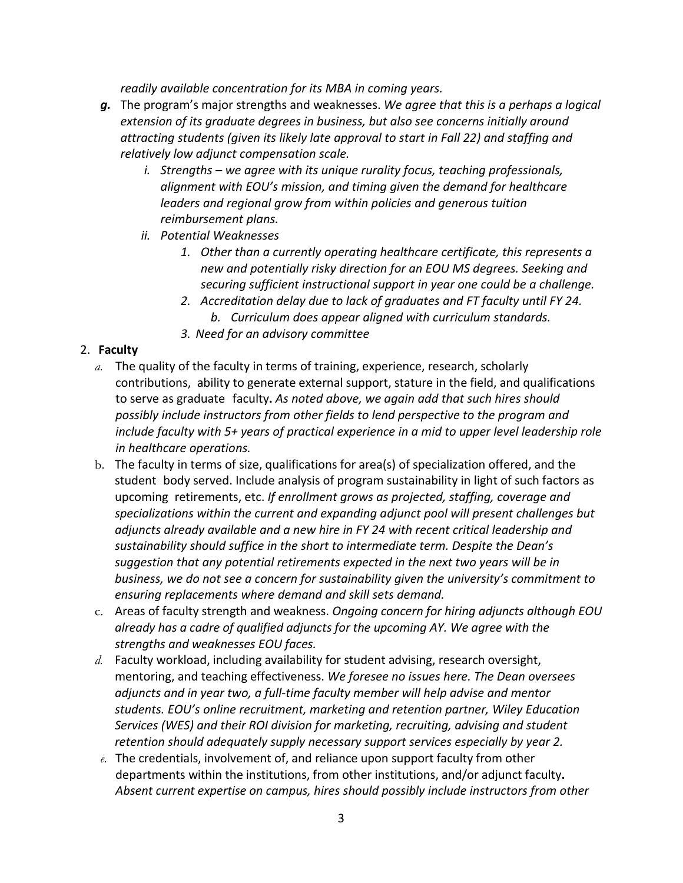*readily available concentration for its MBA in coming years.*

- *g.* The program's major strengths and weaknesses. *We agree that this is a perhaps a logical extension of its graduate degrees in business, but also see concerns initially around attracting students (given its likely late approval to start in Fall 22) and staffing and relatively low adjunct compensation scale.* 
	- *i. Strengths – we agree with its unique rurality focus, teaching professionals, alignment with EOU's mission, and timing given the demand for healthcare leaders and regional grow from within policies and generous tuition reimbursement plans.*
	- *ii. Potential Weaknesses*
		- *1. Other than a currently operating healthcare certificate, this represents a new and potentially risky direction for an EOU MS degrees. Seeking and securing sufficient instructional support in year one could be a challenge.*
		- *2. Accreditation delay due to lack of graduates and FT faculty until FY 24. b. Curriculum does appear aligned with curriculum standards.*
		- *3. Need for an advisory committee*

## 2. **Faculty**

- *a.* The quality of the faculty in terms of training, experience, research, scholarly contributions, ability to generate external support, stature in the field, and qualifications to serve as graduate faculty**.** *As noted above, we again add that such hires should possibly include instructors from other fields to lend perspective to the program and include faculty with 5+ years of practical experience in a mid to upper level leadership role in healthcare operations.*
- b. The faculty in terms of size, qualifications for area(s) of specialization offered, and the student body served. Include analysis of program sustainability in light of such factors as upcoming retirements, etc. *If enrollment grows as projected, staffing, coverage and specializations within the current and expanding adjunct pool will present challenges but adjuncts already available and a new hire in FY 24 with recent critical leadership and sustainability should suffice in the short to intermediate term. Despite the Dean's suggestion that any potential retirements expected in the next two years will be in business, we do not see a concern for sustainability given the university's commitment to ensuring replacements where demand and skill sets demand.*
- c. Areas of faculty strength and weakness. *Ongoing concern for hiring adjuncts although EOU already has a cadre of qualified adjuncts for the upcoming AY. We agree with the strengths and weaknesses EOU faces.*
- *d.* Faculty workload, including availability for student advising, research oversight, mentoring, and teaching effectiveness. *We foresee no issues here. The Dean oversees adjuncts and in year two, a full-time faculty member will help advise and mentor students. EOU's online recruitment, marketing and retention partner, Wiley Education Services (WES) and their ROI division for marketing, recruiting, advising and student retention should adequately supply necessary support services especially by year 2.*
- *e.* The credentials, involvement of, and reliance upon support faculty from other departments within the institutions, from other institutions, and/or adjunct faculty**.** *Absent current expertise on campus, hires should possibly include instructors from other*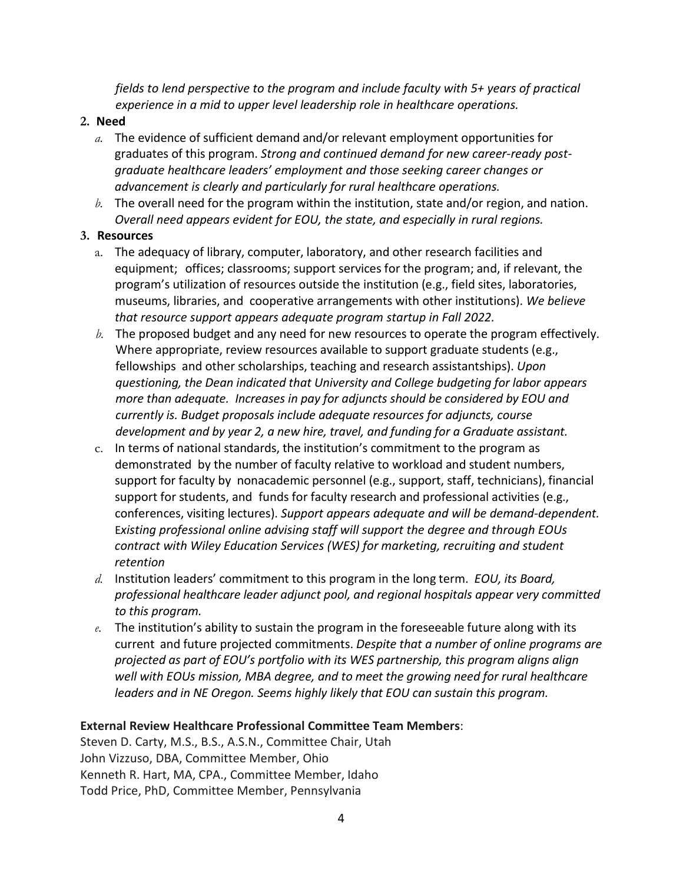*fields to lend perspective to the program and include faculty with 5+ years of practical experience in a mid to upper level leadership role in healthcare operations.*

### **2. Need**

- *a.* The evidence of sufficient demand and/or relevant employment opportunities for graduates of this program. *Strong and continued demand for new career-ready postgraduate healthcare leaders' employment and those seeking career changes or advancement is clearly and particularly for rural healthcare operations.*
- *b.* The overall need for the program within the institution, state and/or region, and nation. *Overall need appears evident for EOU, the state, and especially in rural regions.*

### **3. Resources**

- a. The adequacy of library, computer, laboratory, and other research facilities and equipment; offices; classrooms; support services for the program; and, if relevant, the program's utilization of resources outside the institution (e.g., field sites, laboratories, museums, libraries, and cooperative arrangements with other institutions). *We believe that resource support appears adequate program startup in Fall 2022.*
- *b.* The proposed budget and any need for new resources to operate the program effectively. Where appropriate, review resources available to support graduate students (e.g., fellowships and other scholarships, teaching and research assistantships). *Upon questioning, the Dean indicated that University and College budgeting for labor appears more than adequate. Increases in pay for adjuncts should be considered by EOU and currently is. Budget proposals include adequate resources for adjuncts, course development and by year 2, a new hire, travel, and funding for a Graduate assistant.*
- c. In terms of national standards, the institution's commitment to the program as demonstrated by the number of faculty relative to workload and student numbers, support for faculty by nonacademic personnel (e.g., support, staff, technicians), financial support for students, and funds for faculty research and professional activities (e.g., conferences, visiting lectures). *Support appears adequate and will be demand-dependent.* E*xisting professional online advising staff will support the degree and through EOUs contract with Wiley Education Services (WES) for marketing, recruiting and student retention*
- *d.* Institution leaders' commitment to this program in the long term. *EOU, its Board, professional healthcare leader adjunct pool, and regional hospitals appear very committed to this program.*
- *e.* The institution's ability to sustain the program in the foreseeable future along with its current and future projected commitments. *Despite that a number of online programs are projected as part of EOU's portfolio with its WES partnership, this program aligns align well with EOUs mission, MBA degree, and to meet the growing need for rural healthcare leaders and in NE Oregon. Seems highly likely that EOU can sustain this program.*

## **External Review Healthcare Professional Committee Team Members**:

Steven D. Carty, M.S., B.S., A.S.N., Committee Chair, Utah John Vizzuso, DBA, Committee Member, Ohio Kenneth R. Hart, MA, CPA., Committee Member, Idaho Todd Price, PhD, Committee Member, Pennsylvania